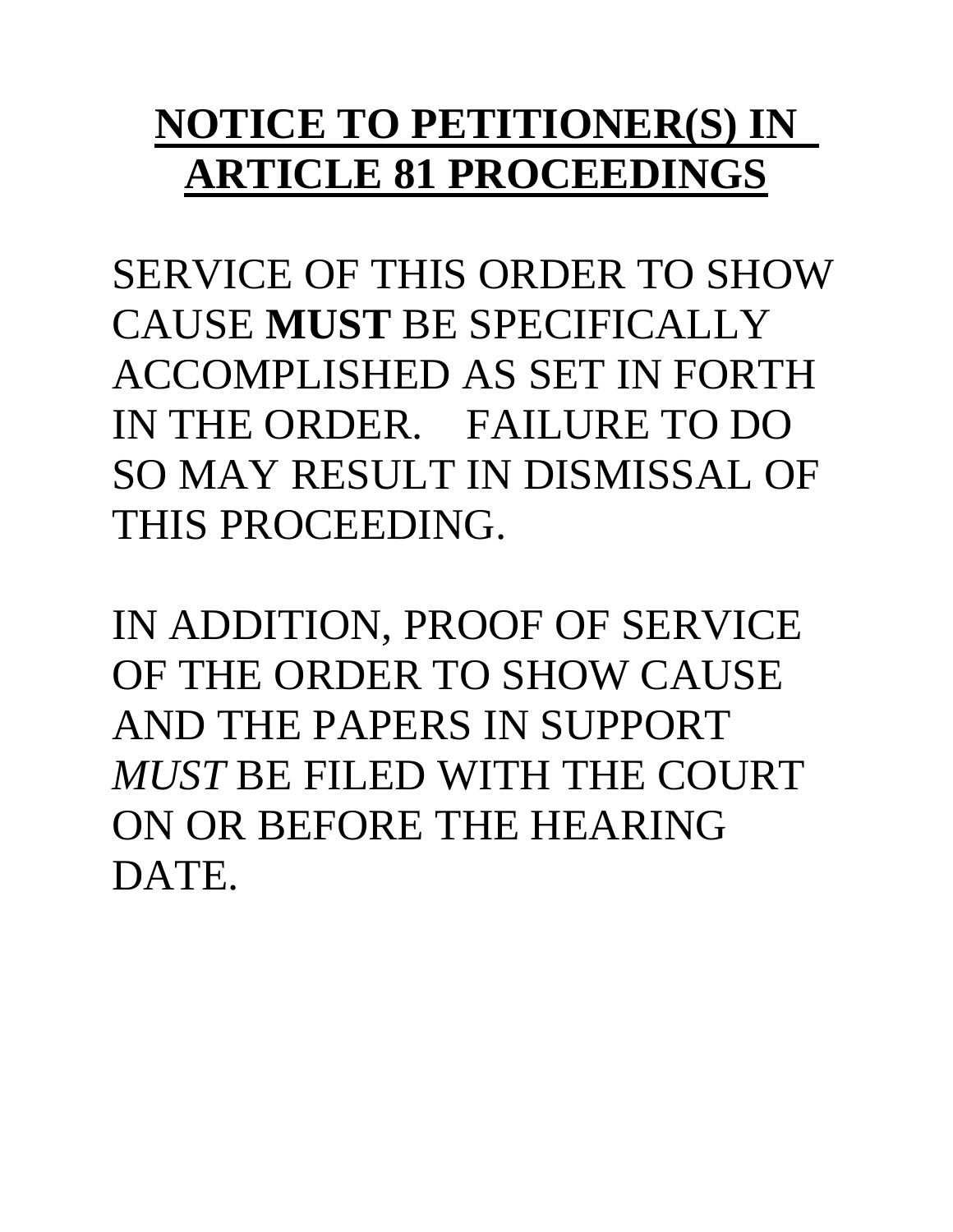# **NOTICE TO PETITIONER(S) IN ARTICLE 81 PROCEEDINGS**

SERVICE OF THIS ORDER TO SHOW CAUSE **MUST** BE SPECIFICALLY ACCOMPLISHED AS SET IN FORTH IN THE ORDER. FAILURE TO DO SO MAY RESULT IN DISMISSAL OF THIS PROCEEDING.

IN ADDITION, PROOF OF SERVICE OF THE ORDER TO SHOW CAUSE AND THE PAPERS IN SUPPORT *MUST* BE FILED WITH THE COURT ON OR BEFORE THE HEARING DATE.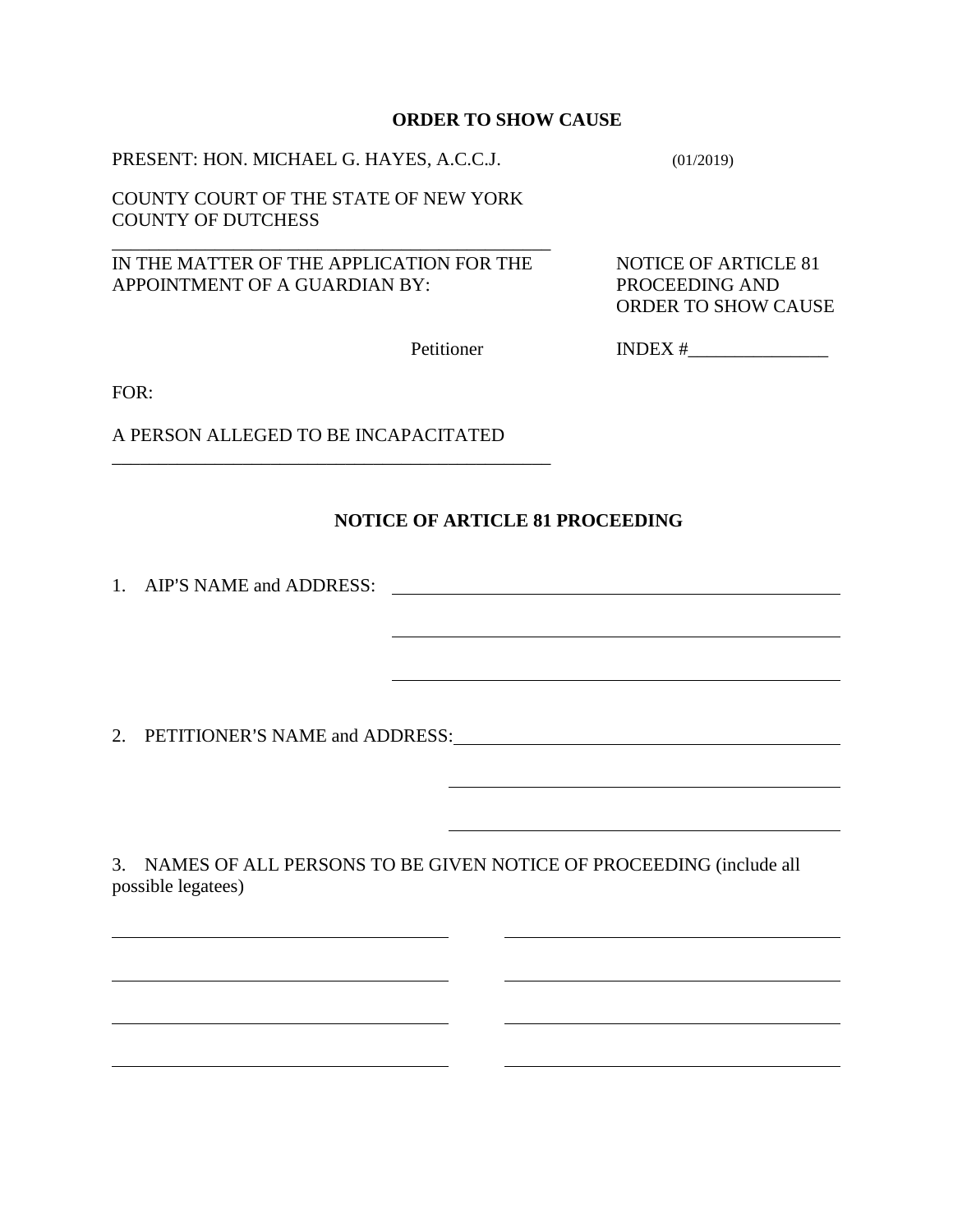#### **ORDER TO SHOW CAUSE**

PRESENT: HON. MICHAEL G. HAYES, A.C.C.J. (01/2019)

COUNTY COURT OF THE STATE OF NEW YORK COUNTY OF DUTCHESS

IN THE MATTER OF THE APPLICATION FOR THE NOTICE OF ARTICLE 81 APPOINTMENT OF A GUARDIAN BY: PROCEEDING AND

\_\_\_\_\_\_\_\_\_\_\_\_\_\_\_\_\_\_\_\_\_\_\_\_\_\_\_\_\_\_\_\_\_\_\_\_\_\_\_\_\_\_\_\_\_\_\_

ORDER TO SHOW CAUSE

Petitioner INDEX #\_\_\_\_\_\_\_\_\_\_\_\_\_\_\_

FOR:

 $\overline{a}$ 

 $\overline{a}$ 

 $\overline{a}$ 

 $\overline{a}$ 

A PERSON ALLEGED TO BE INCAPACITATED

\_\_\_\_\_\_\_\_\_\_\_\_\_\_\_\_\_\_\_\_\_\_\_\_\_\_\_\_\_\_\_\_\_\_\_\_\_\_\_\_\_\_\_\_\_\_\_

 $\overline{a}$ 

 $\overline{a}$ 

## **NOTICE OF ARTICLE 81 PROCEEDING**

1. AIP=S NAME and ADDRESS:

2. PETITIONER'S NAME and ADDRESS:

3. NAMES OF ALL PERSONS TO BE GIVEN NOTICE OF PROCEEDING (include all possible legatees)

 $\overline{a}$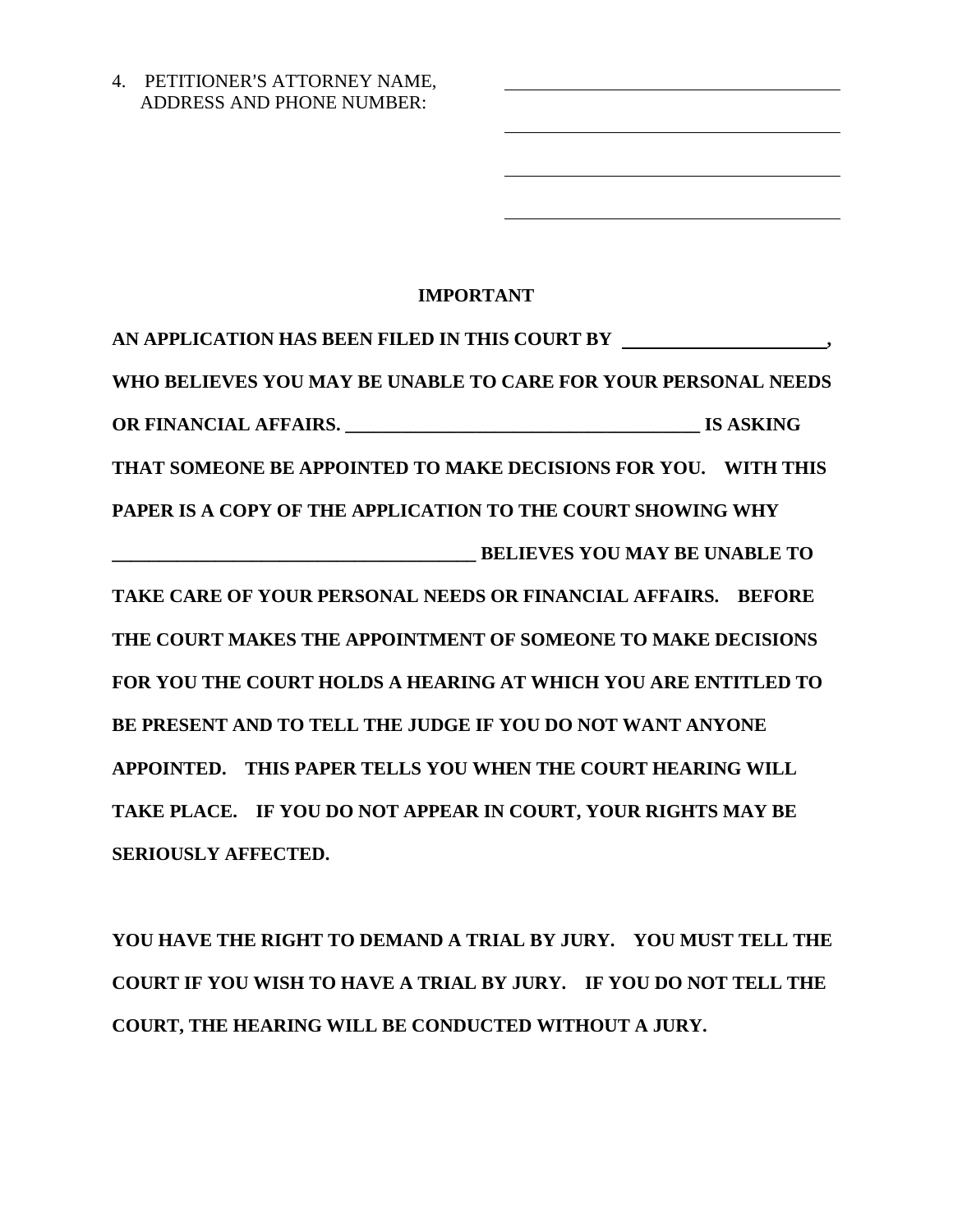4. PETITIONER'S ATTORNEY NAME, ADDRESS AND PHONE NUMBER:

# **IMPORTANT**

 $\overline{a}$ 

**AN APPLICATION HAS BEEN FILED IN THIS COURT BY , WHO BELIEVES YOU MAY BE UNABLE TO CARE FOR YOUR PERSONAL NEEDS OR FINANCIAL AFFAIRS. \_\_\_\_\_\_\_\_\_\_\_\_\_\_\_\_\_\_\_\_\_\_\_\_\_\_\_\_\_\_\_\_\_\_\_\_\_\_ IS ASKING THAT SOMEONE BE APPOINTED TO MAKE DECISIONS FOR YOU. WITH THIS PAPER IS A COPY OF THE APPLICATION TO THE COURT SHOWING WHY \_\_\_\_\_\_\_\_\_\_\_\_\_\_\_\_\_\_\_\_\_\_\_\_\_\_\_\_\_\_\_\_\_\_\_\_\_\_\_ BELIEVES YOU MAY BE UNABLE TO TAKE CARE OF YOUR PERSONAL NEEDS OR FINANCIAL AFFAIRS. BEFORE THE COURT MAKES THE APPOINTMENT OF SOMEONE TO MAKE DECISIONS FOR YOU THE COURT HOLDS A HEARING AT WHICH YOU ARE ENTITLED TO BE PRESENT AND TO TELL THE JUDGE IF YOU DO NOT WANT ANYONE APPOINTED. THIS PAPER TELLS YOU WHEN THE COURT HEARING WILL TAKE PLACE. IF YOU DO NOT APPEAR IN COURT, YOUR RIGHTS MAY BE SERIOUSLY AFFECTED.** 

**YOU HAVE THE RIGHT TO DEMAND A TRIAL BY JURY. YOU MUST TELL THE COURT IF YOU WISH TO HAVE A TRIAL BY JURY. IF YOU DO NOT TELL THE COURT, THE HEARING WILL BE CONDUCTED WITHOUT A JURY.**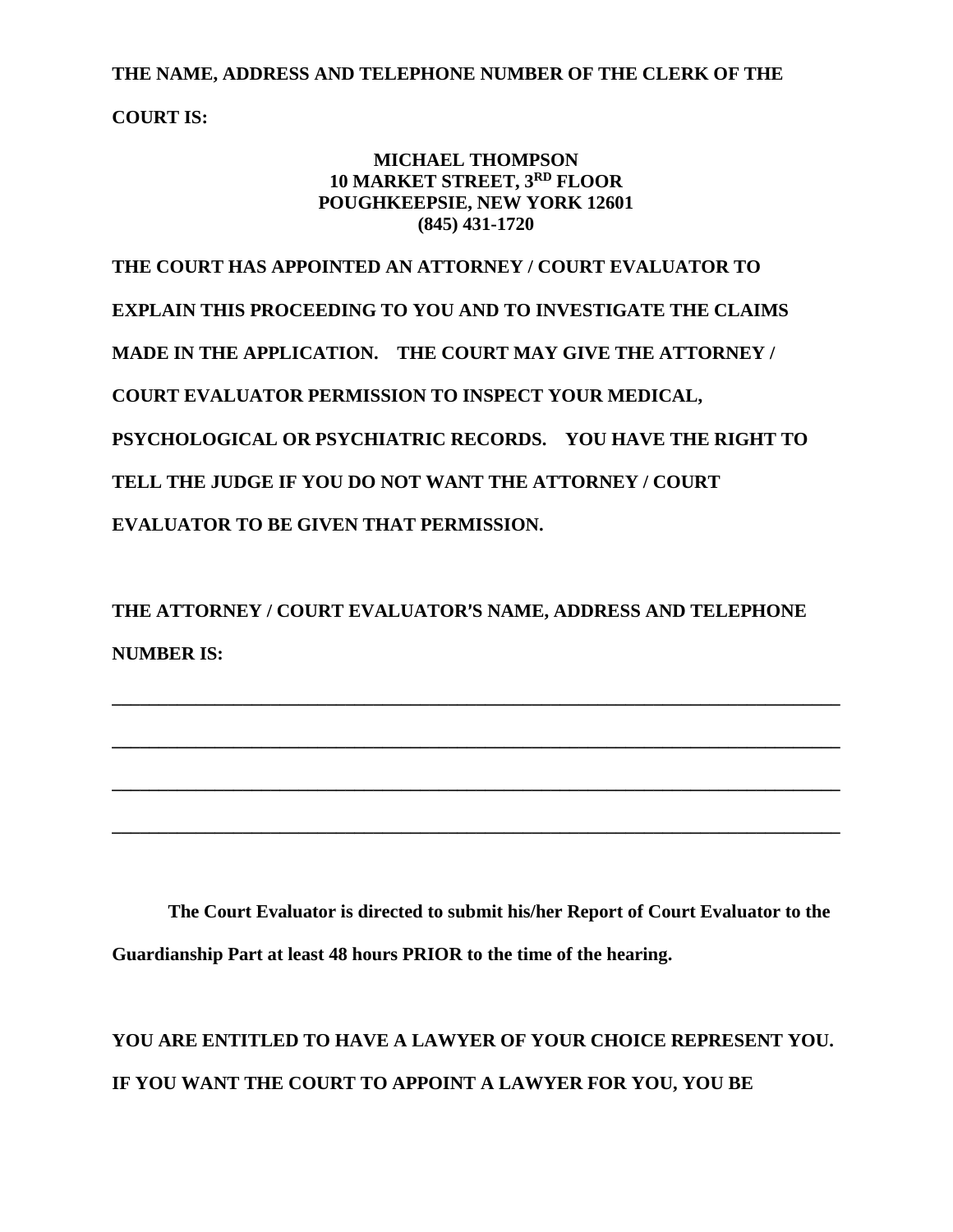**THE NAME, ADDRESS AND TELEPHONE NUMBER OF THE CLERK OF THE** 

**COURT IS:**

## **MICHAEL THOMPSON 10 MARKET STREET, 3RD FLOOR POUGHKEEPSIE, NEW YORK 12601 (845) 431-1720**

**THE COURT HAS APPOINTED AN ATTORNEY / COURT EVALUATOR TO EXPLAIN THIS PROCEEDING TO YOU AND TO INVESTIGATE THE CLAIMS MADE IN THE APPLICATION. THE COURT MAY GIVE THE ATTORNEY / COURT EVALUATOR PERMISSION TO INSPECT YOUR MEDICAL, PSYCHOLOGICAL OR PSYCHIATRIC RECORDS. YOU HAVE THE RIGHT TO TELL THE JUDGE IF YOU DO NOT WANT THE ATTORNEY / COURT EVALUATOR TO BE GIVEN THAT PERMISSION.**

THE ATTORNEY / COURT EVALUATOR'S NAME, ADDRESS AND TELEPHONE **NUMBER IS:**

**\_\_\_\_\_\_\_\_\_\_\_\_\_\_\_\_\_\_\_\_\_\_\_\_\_\_\_\_\_\_\_\_\_\_\_\_\_\_\_\_\_\_\_\_\_\_\_\_\_\_\_\_\_\_\_\_\_\_\_\_\_\_\_\_\_\_\_\_\_\_\_\_\_\_\_\_\_\_**

**\_\_\_\_\_\_\_\_\_\_\_\_\_\_\_\_\_\_\_\_\_\_\_\_\_\_\_\_\_\_\_\_\_\_\_\_\_\_\_\_\_\_\_\_\_\_\_\_\_\_\_\_\_\_\_\_\_\_\_\_\_\_\_\_\_\_\_\_\_\_\_\_\_\_\_\_\_\_**

**\_\_\_\_\_\_\_\_\_\_\_\_\_\_\_\_\_\_\_\_\_\_\_\_\_\_\_\_\_\_\_\_\_\_\_\_\_\_\_\_\_\_\_\_\_\_\_\_\_\_\_\_\_\_\_\_\_\_\_\_\_\_\_\_\_\_\_\_\_\_\_\_\_\_\_\_\_\_**

**\_\_\_\_\_\_\_\_\_\_\_\_\_\_\_\_\_\_\_\_\_\_\_\_\_\_\_\_\_\_\_\_\_\_\_\_\_\_\_\_\_\_\_\_\_\_\_\_\_\_\_\_\_\_\_\_\_\_\_\_\_\_\_\_\_\_\_\_\_\_\_\_\_\_\_\_\_\_**

**The Court Evaluator is directed to submit his/her Report of Court Evaluator to the Guardianship Part at least 48 hours PRIOR to the time of the hearing.**

**YOU ARE ENTITLED TO HAVE A LAWYER OF YOUR CHOICE REPRESENT YOU. IF YOU WANT THE COURT TO APPOINT A LAWYER FOR YOU, YOU BE**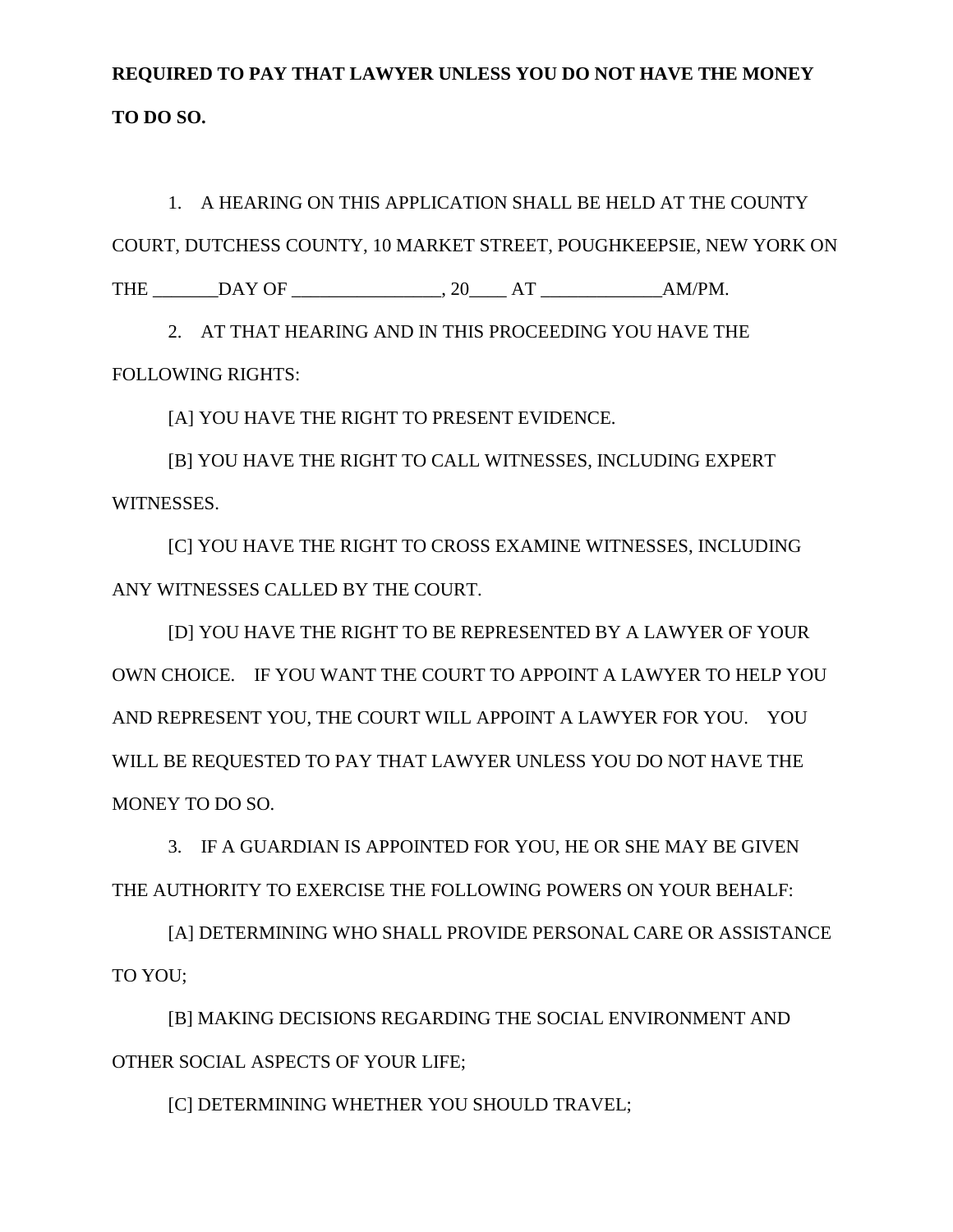# **REQUIRED TO PAY THAT LAWYER UNLESS YOU DO NOT HAVE THE MONEY TO DO SO.**

1. A HEARING ON THIS APPLICATION SHALL BE HELD AT THE COUNTY COURT, DUTCHESS COUNTY, 10 MARKET STREET, POUGHKEEPSIE, NEW YORK ON THE \_\_\_\_\_\_\_DAY OF \_\_\_\_\_\_\_\_\_\_\_\_\_\_\_\_, 20\_\_\_\_ AT \_\_\_\_\_\_\_\_\_\_\_\_\_AM/PM.

2. AT THAT HEARING AND IN THIS PROCEEDING YOU HAVE THE FOLLOWING RIGHTS:

[A] YOU HAVE THE RIGHT TO PRESENT EVIDENCE.

[B] YOU HAVE THE RIGHT TO CALL WITNESSES, INCLUDING EXPERT WITNESSES.

[C] YOU HAVE THE RIGHT TO CROSS EXAMINE WITNESSES, INCLUDING ANY WITNESSES CALLED BY THE COURT.

[D] YOU HAVE THE RIGHT TO BE REPRESENTED BY A LAWYER OF YOUR OWN CHOICE. IF YOU WANT THE COURT TO APPOINT A LAWYER TO HELP YOU AND REPRESENT YOU, THE COURT WILL APPOINT A LAWYER FOR YOU. YOU WILL BE REQUESTED TO PAY THAT LAWYER UNLESS YOU DO NOT HAVE THE MONEY TO DO SO.

3. IF A GUARDIAN IS APPOINTED FOR YOU, HE OR SHE MAY BE GIVEN THE AUTHORITY TO EXERCISE THE FOLLOWING POWERS ON YOUR BEHALF:

[A] DETERMINING WHO SHALL PROVIDE PERSONAL CARE OR ASSISTANCE TO YOU;

[B] MAKING DECISIONS REGARDING THE SOCIAL ENVIRONMENT AND OTHER SOCIAL ASPECTS OF YOUR LIFE;

[C] DETERMINING WHETHER YOU SHOULD TRAVEL;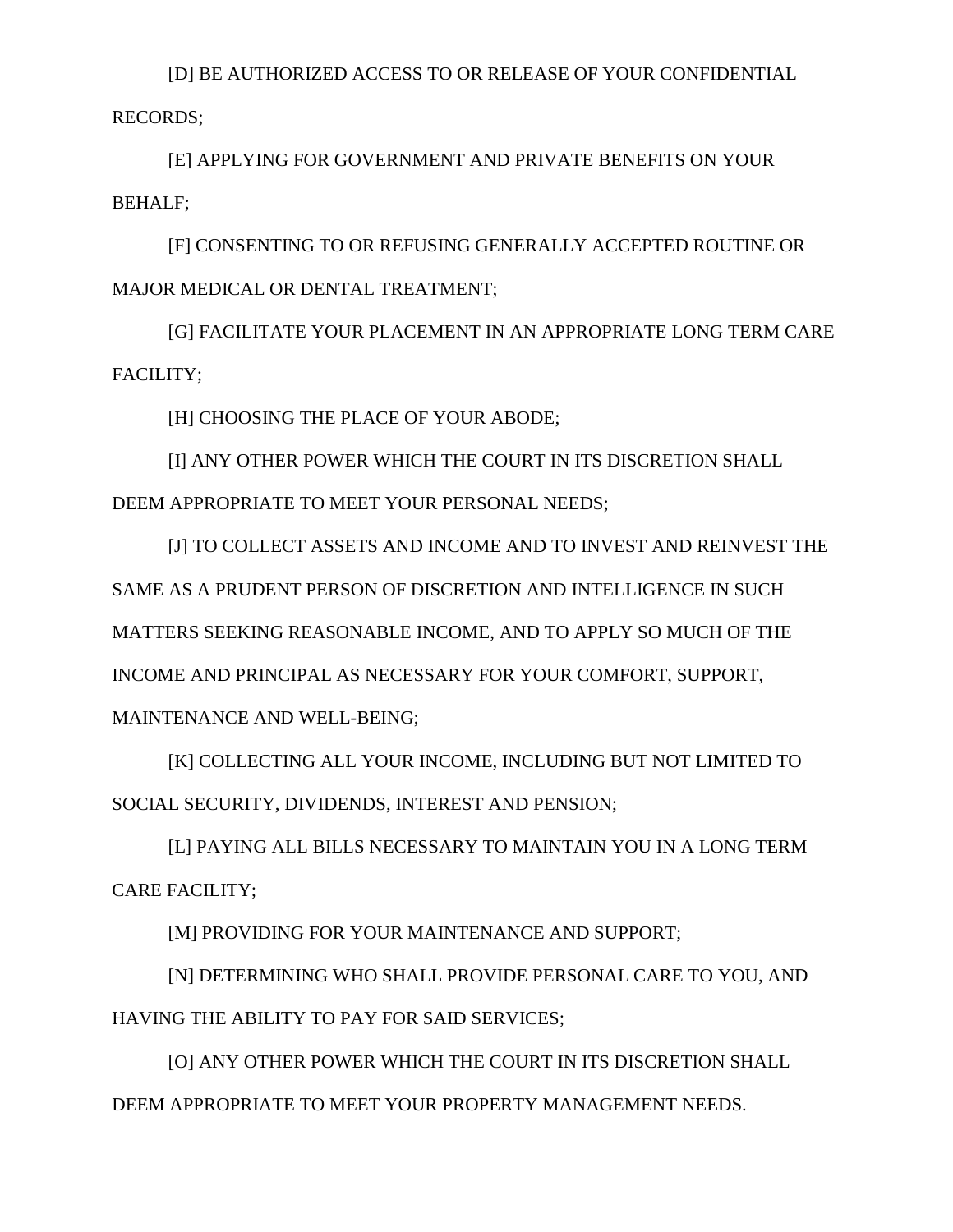[D] BE AUTHORIZED ACCESS TO OR RELEASE OF YOUR CONFIDENTIAL RECORDS;

[E] APPLYING FOR GOVERNMENT AND PRIVATE BENEFITS ON YOUR BEHALF;

[F] CONSENTING TO OR REFUSING GENERALLY ACCEPTED ROUTINE OR MAJOR MEDICAL OR DENTAL TREATMENT;

[G] FACILITATE YOUR PLACEMENT IN AN APPROPRIATE LONG TERM CARE FACILITY;

[H] CHOOSING THE PLACE OF YOUR ABODE;

[I] ANY OTHER POWER WHICH THE COURT IN ITS DISCRETION SHALL DEEM APPROPRIATE TO MEET YOUR PERSONAL NEEDS;

[J] TO COLLECT ASSETS AND INCOME AND TO INVEST AND REINVEST THE SAME AS A PRUDENT PERSON OF DISCRETION AND INTELLIGENCE IN SUCH MATTERS SEEKING REASONABLE INCOME, AND TO APPLY SO MUCH OF THE INCOME AND PRINCIPAL AS NECESSARY FOR YOUR COMFORT, SUPPORT, MAINTENANCE AND WELL-BEING;

[K] COLLECTING ALL YOUR INCOME, INCLUDING BUT NOT LIMITED TO SOCIAL SECURITY, DIVIDENDS, INTEREST AND PENSION;

[L] PAYING ALL BILLS NECESSARY TO MAINTAIN YOU IN A LONG TERM CARE FACILITY;

[M] PROVIDING FOR YOUR MAINTENANCE AND SUPPORT;

[N] DETERMINING WHO SHALL PROVIDE PERSONAL CARE TO YOU, AND HAVING THE ABILITY TO PAY FOR SAID SERVICES;

[O] ANY OTHER POWER WHICH THE COURT IN ITS DISCRETION SHALL DEEM APPROPRIATE TO MEET YOUR PROPERTY MANAGEMENT NEEDS.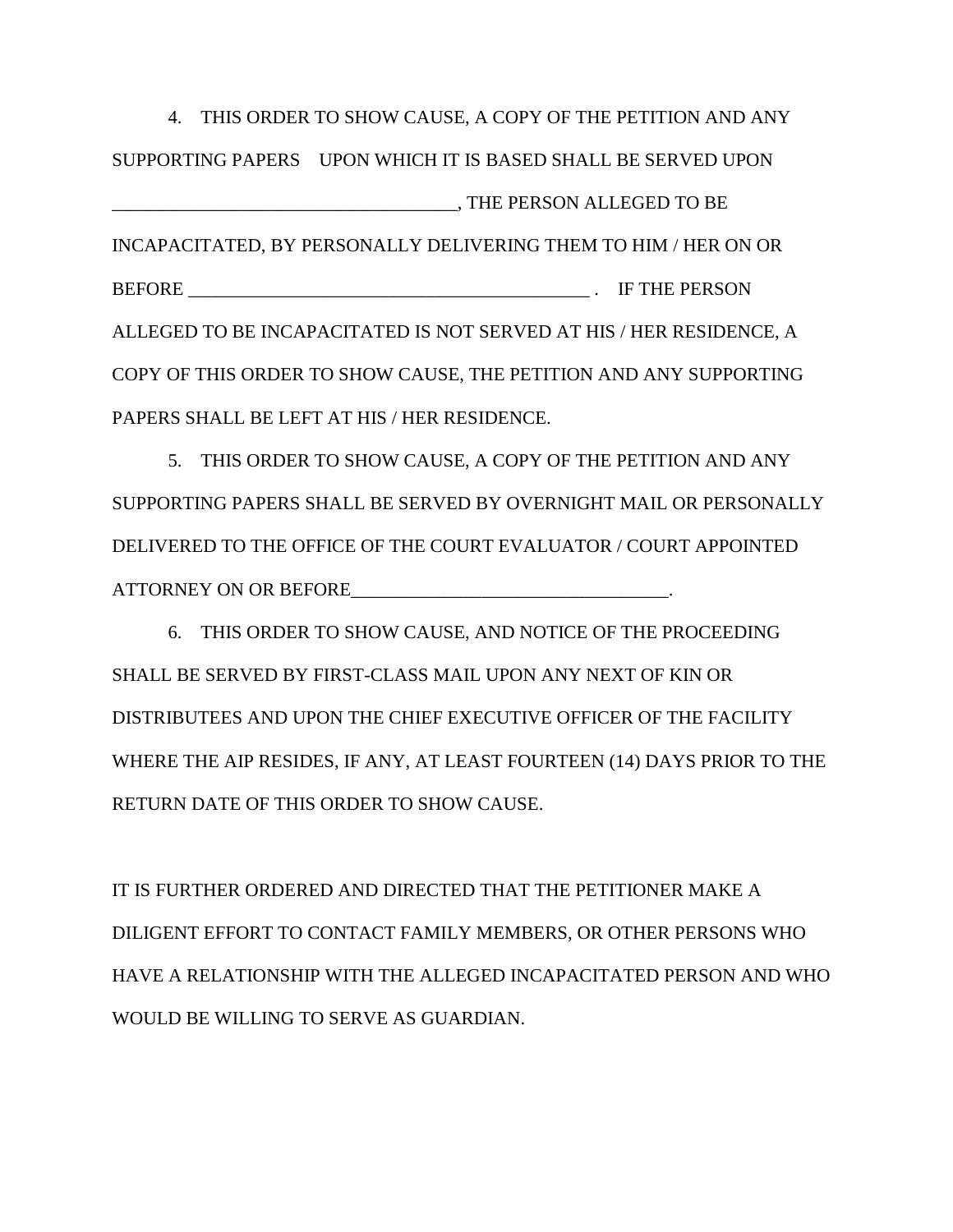4. THIS ORDER TO SHOW CAUSE, A COPY OF THE PETITION AND ANY SUPPORTING PAPERS UPON WHICH IT IS BASED SHALL BE SERVED UPON \_\_\_\_\_\_\_\_\_\_\_\_\_\_\_\_\_\_\_\_\_\_\_\_\_\_\_\_\_\_\_\_\_\_\_\_\_, THE PERSON ALLEGED TO BE INCAPACITATED, BY PERSONALLY DELIVERING THEM TO HIM / HER ON OR BEFORE **EXAMPLE 20 BEFORE EXAMPLE 20 BEFORE** ALLEGED TO BE INCAPACITATED IS NOT SERVED AT HIS / HER RESIDENCE, A COPY OF THIS ORDER TO SHOW CAUSE, THE PETITION AND ANY SUPPORTING PAPERS SHALL BE LEFT AT HIS / HER RESIDENCE.

5. THIS ORDER TO SHOW CAUSE, A COPY OF THE PETITION AND ANY SUPPORTING PAPERS SHALL BE SERVED BY OVERNIGHT MAIL OR PERSONALLY DELIVERED TO THE OFFICE OF THE COURT EVALUATOR / COURT APPOINTED ATTORNEY ON OR BEFORE THE SECOND SECTION OF  $\mathcal{L}$ 

6. THIS ORDER TO SHOW CAUSE, AND NOTICE OF THE PROCEEDING SHALL BE SERVED BY FIRST-CLASS MAIL UPON ANY NEXT OF KIN OR DISTRIBUTEES AND UPON THE CHIEF EXECUTIVE OFFICER OF THE FACILITY WHERE THE AIP RESIDES, IF ANY, AT LEAST FOURTEEN (14) DAYS PRIOR TO THE RETURN DATE OF THIS ORDER TO SHOW CAUSE.

IT IS FURTHER ORDERED AND DIRECTED THAT THE PETITIONER MAKE A DILIGENT EFFORT TO CONTACT FAMILY MEMBERS, OR OTHER PERSONS WHO HAVE A RELATIONSHIP WITH THE ALLEGED INCAPACITATED PERSON AND WHO WOULD BE WILLING TO SERVE AS GUARDIAN.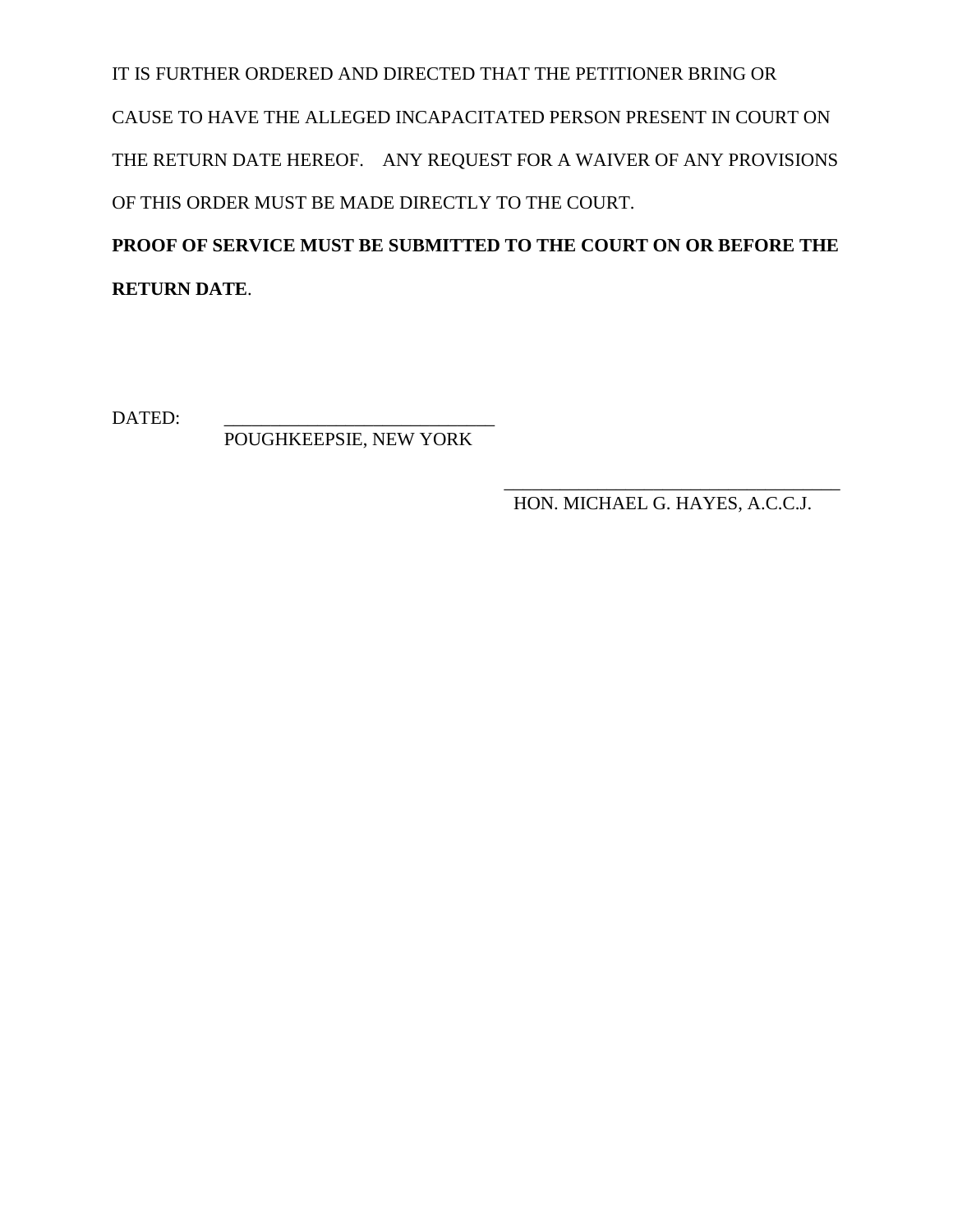IT IS FURTHER ORDERED AND DIRECTED THAT THE PETITIONER BRING OR CAUSE TO HAVE THE ALLEGED INCAPACITATED PERSON PRESENT IN COURT ON THE RETURN DATE HEREOF. ANY REQUEST FOR A WAIVER OF ANY PROVISIONS OF THIS ORDER MUST BE MADE DIRECTLY TO THE COURT.

**PROOF OF SERVICE MUST BE SUBMITTED TO THE COURT ON OR BEFORE THE RETURN DATE**.

DATED:

POUGHKEEPSIE, NEW YORK

\_\_\_\_\_\_\_\_\_\_\_\_\_\_\_\_\_\_\_\_\_\_\_\_\_\_\_\_\_\_\_\_\_\_\_\_ HON. MICHAEL G. HAYES, A.C.C.J.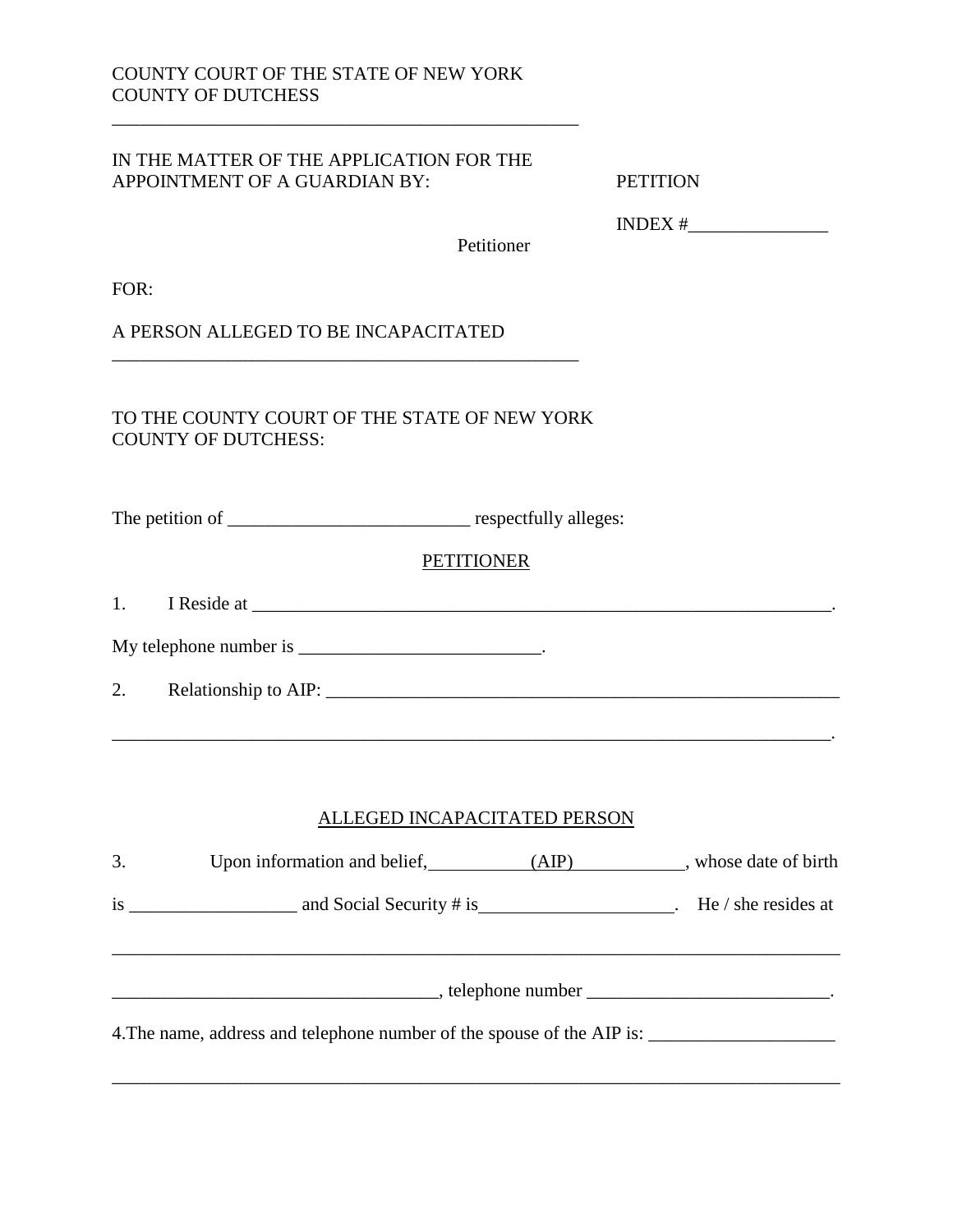#### IN THE MATTER OF THE APPLICATION FOR THE APPOINTMENT OF A GUARDIAN BY: PETITION

\_\_\_\_\_\_\_\_\_\_\_\_\_\_\_\_\_\_\_\_\_\_\_\_\_\_\_\_\_\_\_\_\_\_\_\_\_\_\_\_\_\_\_\_\_\_\_\_\_\_

 $\mathcal{L}_\mathcal{L} = \mathcal{L}_\mathcal{L} = \mathcal{L}_\mathcal{L} = \mathcal{L}_\mathcal{L} = \mathcal{L}_\mathcal{L} = \mathcal{L}_\mathcal{L} = \mathcal{L}_\mathcal{L} = \mathcal{L}_\mathcal{L} = \mathcal{L}_\mathcal{L} = \mathcal{L}_\mathcal{L} = \mathcal{L}_\mathcal{L} = \mathcal{L}_\mathcal{L} = \mathcal{L}_\mathcal{L} = \mathcal{L}_\mathcal{L} = \mathcal{L}_\mathcal{L} = \mathcal{L}_\mathcal{L} = \mathcal{L}_\mathcal{L}$ 

INDEX #\_\_\_\_\_\_\_\_\_\_\_\_\_\_\_

Petitioner

FOR:

A PERSON ALLEGED TO BE INCAPACITATED

TO THE COUNTY COURT OF THE STATE OF NEW YORK COUNTY OF DUTCHESS:

\_\_\_\_\_\_\_\_\_\_\_\_\_\_\_\_\_\_\_\_\_\_\_\_\_\_\_\_\_\_\_\_\_\_\_\_\_\_\_\_\_\_\_\_\_\_\_\_\_\_

The petition of \_\_\_\_\_\_\_\_\_\_\_\_\_\_\_\_\_\_\_\_\_\_\_\_\_\_ respectfully alleges:

#### **PETITIONER**

1. I Reside at \_\_\_\_\_\_\_\_\_\_\_\_\_\_\_\_\_\_\_\_\_\_\_\_\_\_\_\_\_\_\_\_\_\_\_\_\_\_\_\_\_\_\_\_\_\_\_\_\_\_\_\_\_\_\_\_\_\_\_\_\_\_.

| My telephone number is |  |
|------------------------|--|
|------------------------|--|

2. Relationship to AIP: \_\_\_\_\_\_\_\_\_\_\_\_\_\_\_\_\_\_\_\_\_\_\_\_\_\_\_\_\_\_\_\_\_\_\_\_\_\_\_\_\_\_\_\_\_\_\_\_\_\_\_\_\_\_\_

#### ALLEGED INCAPACITATED PERSON

| 3. | Upon information and belief, (AIP) whose date of birth                 |  |
|----|------------------------------------------------------------------------|--|
|    |                                                                        |  |
|    |                                                                        |  |
|    | 4. The name, address and telephone number of the spouse of the AIP is: |  |

\_\_\_\_\_\_\_\_\_\_\_\_\_\_\_\_\_\_\_\_\_\_\_\_\_\_\_\_\_\_\_\_\_\_\_\_\_\_\_\_\_\_\_\_\_\_\_\_\_\_\_\_\_\_\_\_\_\_\_\_\_\_\_\_\_\_\_\_\_\_\_\_\_\_\_\_\_\_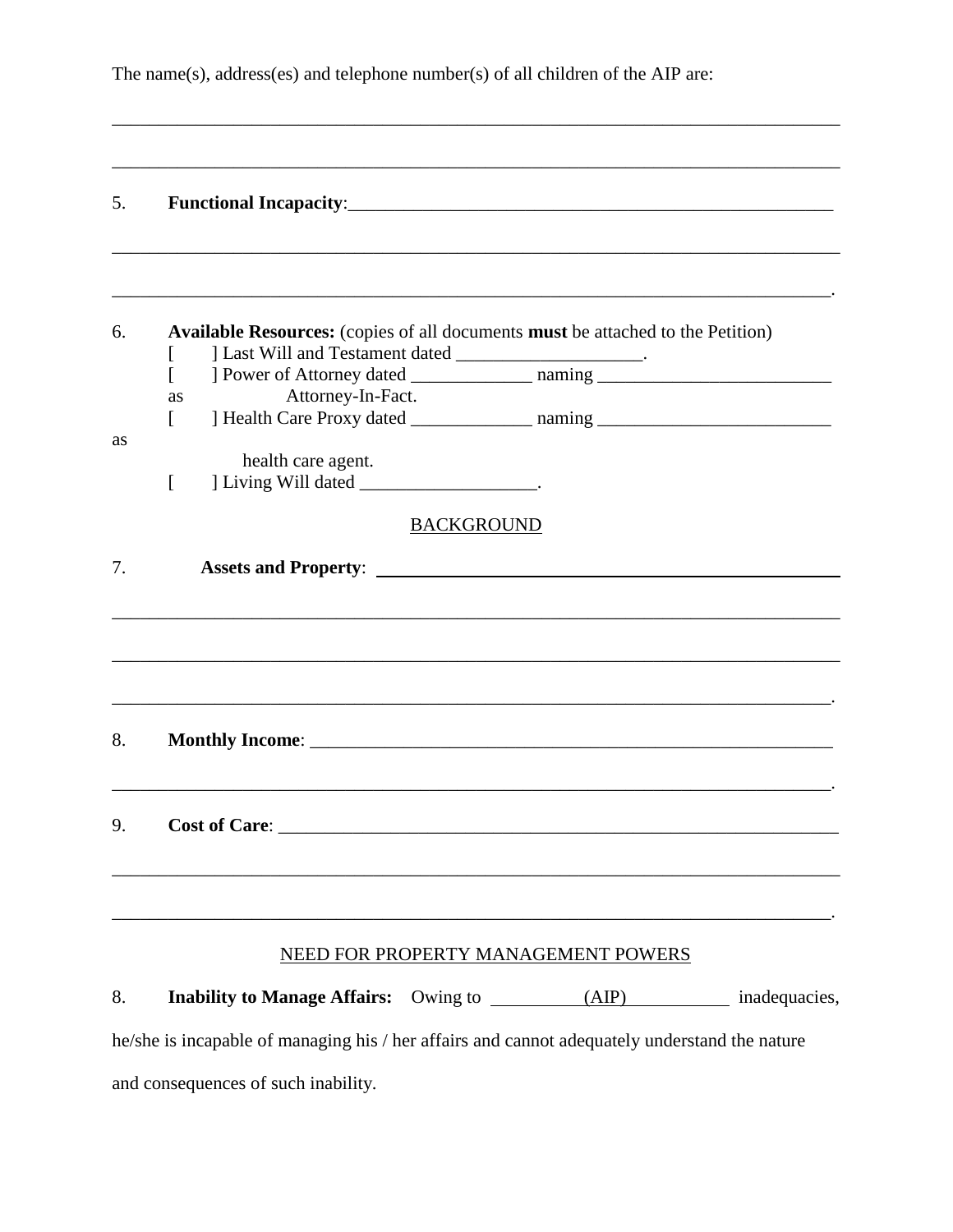The name(s), address(es) and telephone number(s) of all children of the AIP are:

\_\_\_\_\_\_\_\_\_\_\_\_\_\_\_\_\_\_\_\_\_\_\_\_\_\_\_\_\_\_\_\_\_\_\_\_\_\_\_\_\_\_\_\_\_\_\_\_\_\_\_\_\_\_\_\_\_\_\_\_\_\_\_\_\_\_\_\_\_\_\_\_\_\_\_\_\_\_

| 5. |                                                                                                                                              |                                     |  |
|----|----------------------------------------------------------------------------------------------------------------------------------------------|-------------------------------------|--|
| 6. | Available Resources: (copies of all documents must be attached to the Petition)<br>1 Last Will and Testament dated ________________________. |                                     |  |
|    | Attorney-In-Fact.<br>as                                                                                                                      |                                     |  |
| as | health care agent.<br>] Living Will dated ________________________.<br>$\lceil$                                                              |                                     |  |
|    |                                                                                                                                              | <b>BACKGROUND</b>                   |  |
| 7. |                                                                                                                                              |                                     |  |
| 8. |                                                                                                                                              |                                     |  |
| 9. | <b>Cost of Care:</b>                                                                                                                         |                                     |  |
|    |                                                                                                                                              |                                     |  |
|    |                                                                                                                                              | NEED FOR PROPERTY MANAGEMENT POWERS |  |
| 8. |                                                                                                                                              |                                     |  |
|    | he/she is incapable of managing his / her affairs and cannot adequately understand the nature                                                |                                     |  |
|    | and consequences of such inability.                                                                                                          |                                     |  |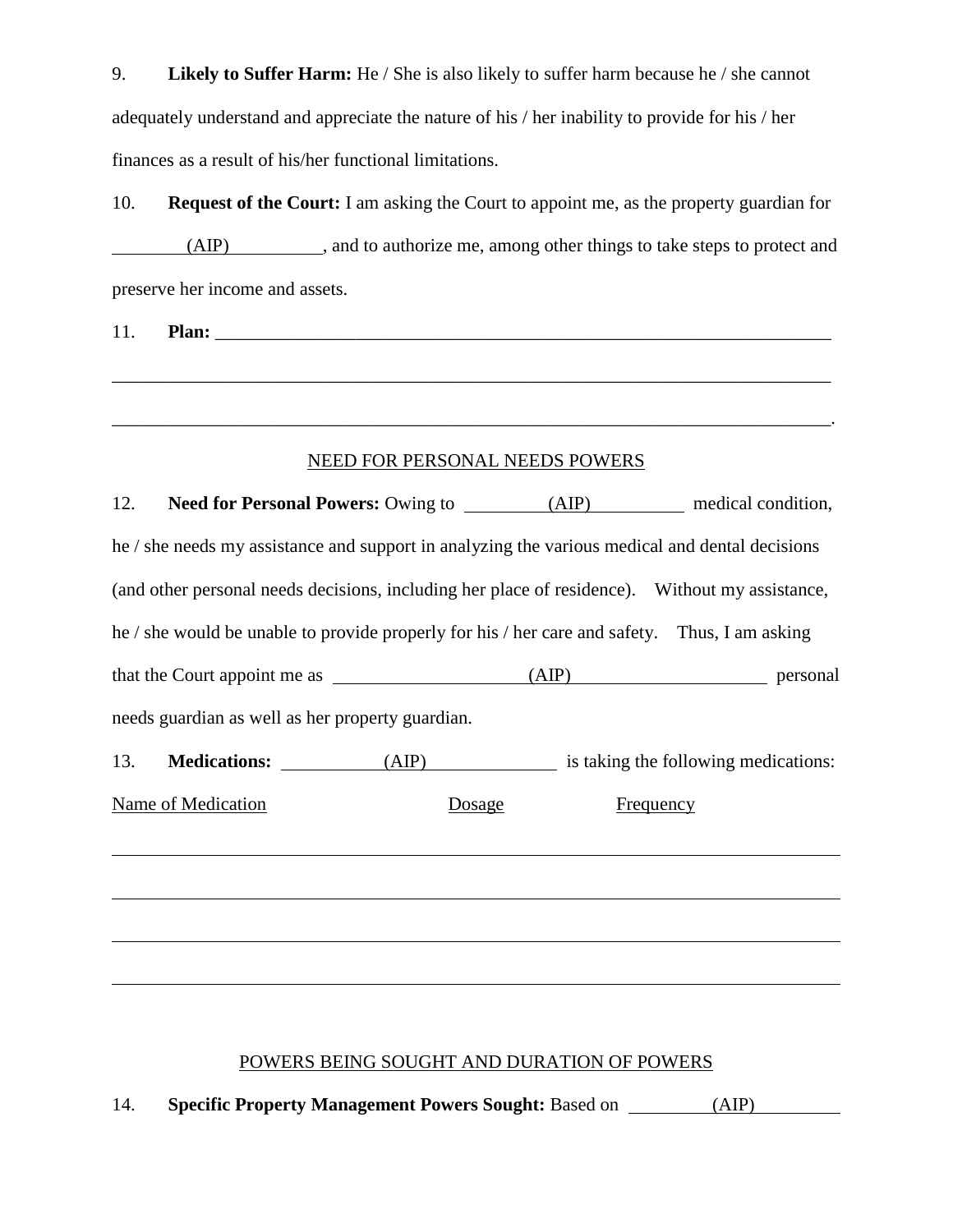9. **Likely to Suffer Harm:** He / She is also likely to suffer harm because he / she cannot adequately understand and appreciate the nature of his / her inability to provide for his / her finances as a result of his/her functional limitations.

10. **Request of the Court:** I am asking the Court to appoint me, as the property guardian for (AIP) , and to authorize me, among other things to take steps to protect and preserve her income and assets.

11. **Plan:** \_\_\_\_\_\_\_\_\_\_\_\_\_\_\_\_\_\_\_\_\_\_\_\_\_\_\_\_\_\_\_\_\_\_\_\_\_\_\_\_\_\_\_\_\_\_\_\_\_\_\_\_\_\_\_\_\_\_\_\_\_\_\_\_\_\_

## NEED FOR PERSONAL NEEDS POWERS

\_\_\_\_\_\_\_\_\_\_\_\_\_\_\_\_\_\_\_\_\_\_\_\_\_\_\_\_\_\_\_\_\_\_\_\_\_\_\_\_\_\_\_\_\_\_\_\_\_\_\_\_\_\_\_\_\_\_\_\_\_\_\_\_\_\_\_\_\_\_\_\_\_\_\_\_\_

\_\_\_\_\_\_\_\_\_\_\_\_\_\_\_\_\_\_\_\_\_\_\_\_\_\_\_\_\_\_\_\_\_\_\_\_\_\_\_\_\_\_\_\_\_\_\_\_\_\_\_\_\_\_\_\_\_\_\_\_\_\_\_\_\_\_\_\_\_\_\_\_\_\_\_\_\_.

| 12.                                                                                            |  |                               |        |           |                                      |  |  |  |  |
|------------------------------------------------------------------------------------------------|--|-------------------------------|--------|-----------|--------------------------------------|--|--|--|--|
| he / she needs my assistance and support in analyzing the various medical and dental decisions |  |                               |        |           |                                      |  |  |  |  |
| (and other personal needs decisions, including her place of residence). Without my assistance, |  |                               |        |           |                                      |  |  |  |  |
| he / she would be unable to provide properly for his / her care and safety. Thus, I am asking  |  |                               |        |           |                                      |  |  |  |  |
|                                                                                                |  |                               |        |           |                                      |  |  |  |  |
| needs guardian as well as her property guardian.                                               |  |                               |        |           |                                      |  |  |  |  |
|                                                                                                |  | 13. <b>Medications:</b> (AIP) |        |           | is taking the following medications: |  |  |  |  |
| <b>Name of Medication</b>                                                                      |  |                               | Dosage | Frequency |                                      |  |  |  |  |
|                                                                                                |  |                               |        |           |                                      |  |  |  |  |
|                                                                                                |  |                               |        |           |                                      |  |  |  |  |
|                                                                                                |  |                               |        |           |                                      |  |  |  |  |
|                                                                                                |  |                               |        |           |                                      |  |  |  |  |

# POWERS BEING SOUGHT AND DURATION OF POWERS

14. **Specific Property Management Powers Sought:** Based on (AIP)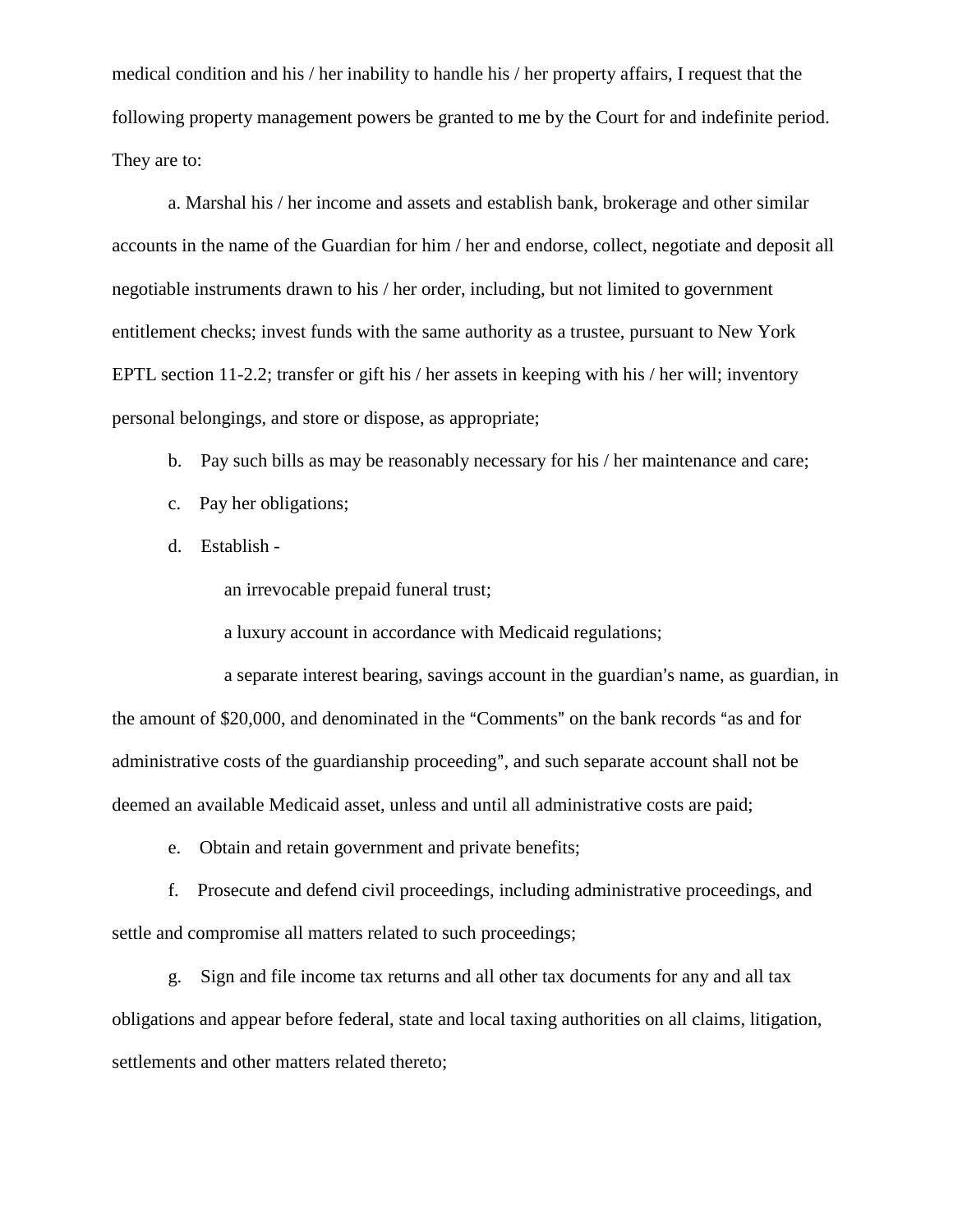medical condition and his / her inability to handle his / her property affairs, I request that the following property management powers be granted to me by the Court for and indefinite period. They are to:

a. Marshal his / her income and assets and establish bank, brokerage and other similar accounts in the name of the Guardian for him / her and endorse, collect, negotiate and deposit all negotiable instruments drawn to his / her order, including, but not limited to government entitlement checks; invest funds with the same authority as a trustee, pursuant to New York EPTL section 11-2.2; transfer or gift his / her assets in keeping with his / her will; inventory personal belongings, and store or dispose, as appropriate;

- b. Pay such bills as may be reasonably necessary for his / her maintenance and care;
- c. Pay her obligations;
- d. Establish -

an irrevocable prepaid funeral trust;

a luxury account in accordance with Medicaid regulations;

a separate interest bearing, savings account in the guardian's name, as guardian, in the amount of \$20,000, and denominated in the "Comments" on the bank records "as and for administrative costs of the guardianship proceeding", and such separate account shall not be deemed an available Medicaid asset, unless and until all administrative costs are paid;

e. Obtain and retain government and private benefits;

f. Prosecute and defend civil proceedings, including administrative proceedings, and settle and compromise all matters related to such proceedings;

g. Sign and file income tax returns and all other tax documents for any and all tax obligations and appear before federal, state and local taxing authorities on all claims, litigation, settlements and other matters related thereto;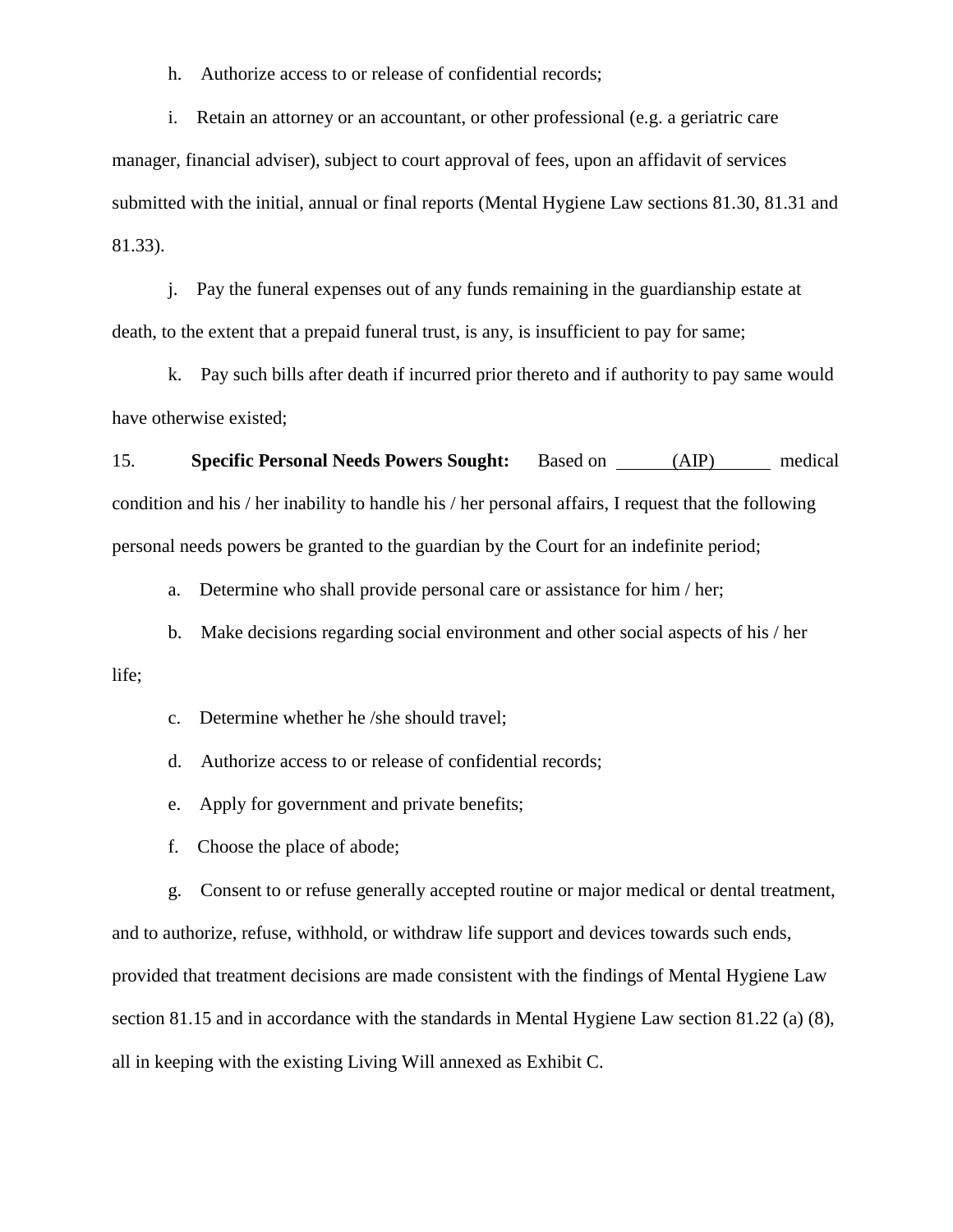h. Authorize access to or release of confidential records;

i. Retain an attorney or an accountant, or other professional (e.g. a geriatric care manager, financial adviser), subject to court approval of fees, upon an affidavit of services submitted with the initial, annual or final reports (Mental Hygiene Law sections 81.30, 81.31 and 81.33).

j. Pay the funeral expenses out of any funds remaining in the guardianship estate at death, to the extent that a prepaid funeral trust, is any, is insufficient to pay for same;

k. Pay such bills after death if incurred prior thereto and if authority to pay same would have otherwise existed;

15. **Specific Personal Needs Powers Sought:** Based on (AIP) medical condition and his / her inability to handle his / her personal affairs, I request that the following personal needs powers be granted to the guardian by the Court for an indefinite period;

a. Determine who shall provide personal care or assistance for him / her;

b. Make decisions regarding social environment and other social aspects of his / her

life;

c. Determine whether he /she should travel;

d. Authorize access to or release of confidential records;

e. Apply for government and private benefits;

f. Choose the place of abode;

g. Consent to or refuse generally accepted routine or major medical or dental treatment, and to authorize, refuse, withhold, or withdraw life support and devices towards such ends, provided that treatment decisions are made consistent with the findings of Mental Hygiene Law section 81.15 and in accordance with the standards in Mental Hygiene Law section 81.22 (a) (8), all in keeping with the existing Living Will annexed as Exhibit C.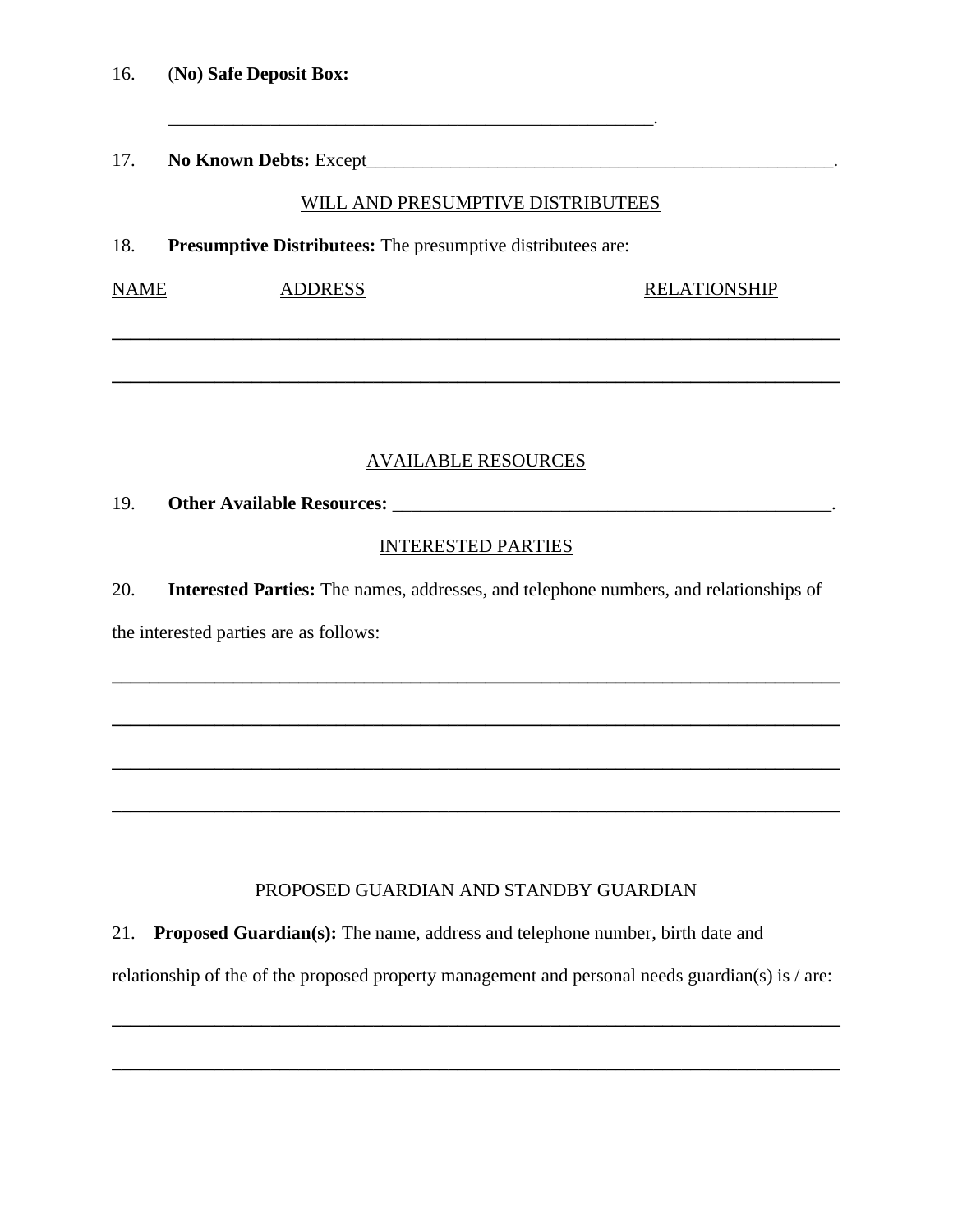17. **No Known Debts:** Except\_\_\_\_\_\_\_\_\_\_\_\_\_\_\_\_\_\_\_\_\_\_\_\_\_\_\_\_\_\_\_\_\_\_\_\_\_\_\_\_\_\_\_\_\_\_\_\_\_\_.

#### WILL AND PRESUMPTIVE DISTRIBUTEES

18. **Presumptive Distributees:** The presumptive distributees are:

\_\_\_\_\_\_\_\_\_\_\_\_\_\_\_\_\_\_\_\_\_\_\_\_\_\_\_\_\_\_\_\_\_\_\_\_\_\_\_\_\_\_\_\_\_\_\_\_\_\_\_\_.

NAME ADDRESS RELATIONSHIP

## AVAILABLE RESOURCES

**\_\_\_\_\_\_\_\_\_\_\_\_\_\_\_\_\_\_\_\_\_\_\_\_\_\_\_\_\_\_\_\_\_\_\_\_\_\_\_\_\_\_\_\_\_\_\_\_\_\_\_\_\_\_\_\_\_\_\_\_\_\_\_\_\_\_\_\_\_\_\_\_\_\_\_\_\_\_**

**\_\_\_\_\_\_\_\_\_\_\_\_\_\_\_\_\_\_\_\_\_\_\_\_\_\_\_\_\_\_\_\_\_\_\_\_\_\_\_\_\_\_\_\_\_\_\_\_\_\_\_\_\_\_\_\_\_\_\_\_\_\_\_\_\_\_\_\_\_\_\_\_\_\_\_\_\_\_**

19. **Other Available Resources:** \_\_\_\_\_\_\_\_\_\_\_\_\_\_\_\_\_\_\_\_\_\_\_\_\_\_\_\_\_\_\_\_\_\_\_\_\_\_\_\_\_\_\_\_\_\_\_.

#### INTERESTED PARTIES

20. **Interested Parties:** The names, addresses, and telephone numbers, and relationships of

**\_\_\_\_\_\_\_\_\_\_\_\_\_\_\_\_\_\_\_\_\_\_\_\_\_\_\_\_\_\_\_\_\_\_\_\_\_\_\_\_\_\_\_\_\_\_\_\_\_\_\_\_\_\_\_\_\_\_\_\_\_\_\_\_\_\_\_\_\_\_\_\_\_\_\_\_\_\_**

**\_\_\_\_\_\_\_\_\_\_\_\_\_\_\_\_\_\_\_\_\_\_\_\_\_\_\_\_\_\_\_\_\_\_\_\_\_\_\_\_\_\_\_\_\_\_\_\_\_\_\_\_\_\_\_\_\_\_\_\_\_\_\_\_\_\_\_\_\_\_\_\_\_\_\_\_\_\_**

**\_\_\_\_\_\_\_\_\_\_\_\_\_\_\_\_\_\_\_\_\_\_\_\_\_\_\_\_\_\_\_\_\_\_\_\_\_\_\_\_\_\_\_\_\_\_\_\_\_\_\_\_\_\_\_\_\_\_\_\_\_\_\_\_\_\_\_\_\_\_\_\_\_\_\_\_\_\_**

**\_\_\_\_\_\_\_\_\_\_\_\_\_\_\_\_\_\_\_\_\_\_\_\_\_\_\_\_\_\_\_\_\_\_\_\_\_\_\_\_\_\_\_\_\_\_\_\_\_\_\_\_\_\_\_\_\_\_\_\_\_\_\_\_\_\_\_\_\_\_\_\_\_\_\_\_\_\_**

the interested parties are as follows:

## PROPOSED GUARDIAN AND STANDBY GUARDIAN

21. **Proposed Guardian(s):** The name, address and telephone number, birth date and

relationship of the of the proposed property management and personal needs guardian(s) is / are:

**\_\_\_\_\_\_\_\_\_\_\_\_\_\_\_\_\_\_\_\_\_\_\_\_\_\_\_\_\_\_\_\_\_\_\_\_\_\_\_\_\_\_\_\_\_\_\_\_\_\_\_\_\_\_\_\_\_\_\_\_\_\_\_\_\_\_\_\_\_\_\_\_\_\_\_\_\_\_**

**\_\_\_\_\_\_\_\_\_\_\_\_\_\_\_\_\_\_\_\_\_\_\_\_\_\_\_\_\_\_\_\_\_\_\_\_\_\_\_\_\_\_\_\_\_\_\_\_\_\_\_\_\_\_\_\_\_\_\_\_\_\_\_\_\_\_\_\_\_\_\_\_\_\_\_\_\_\_**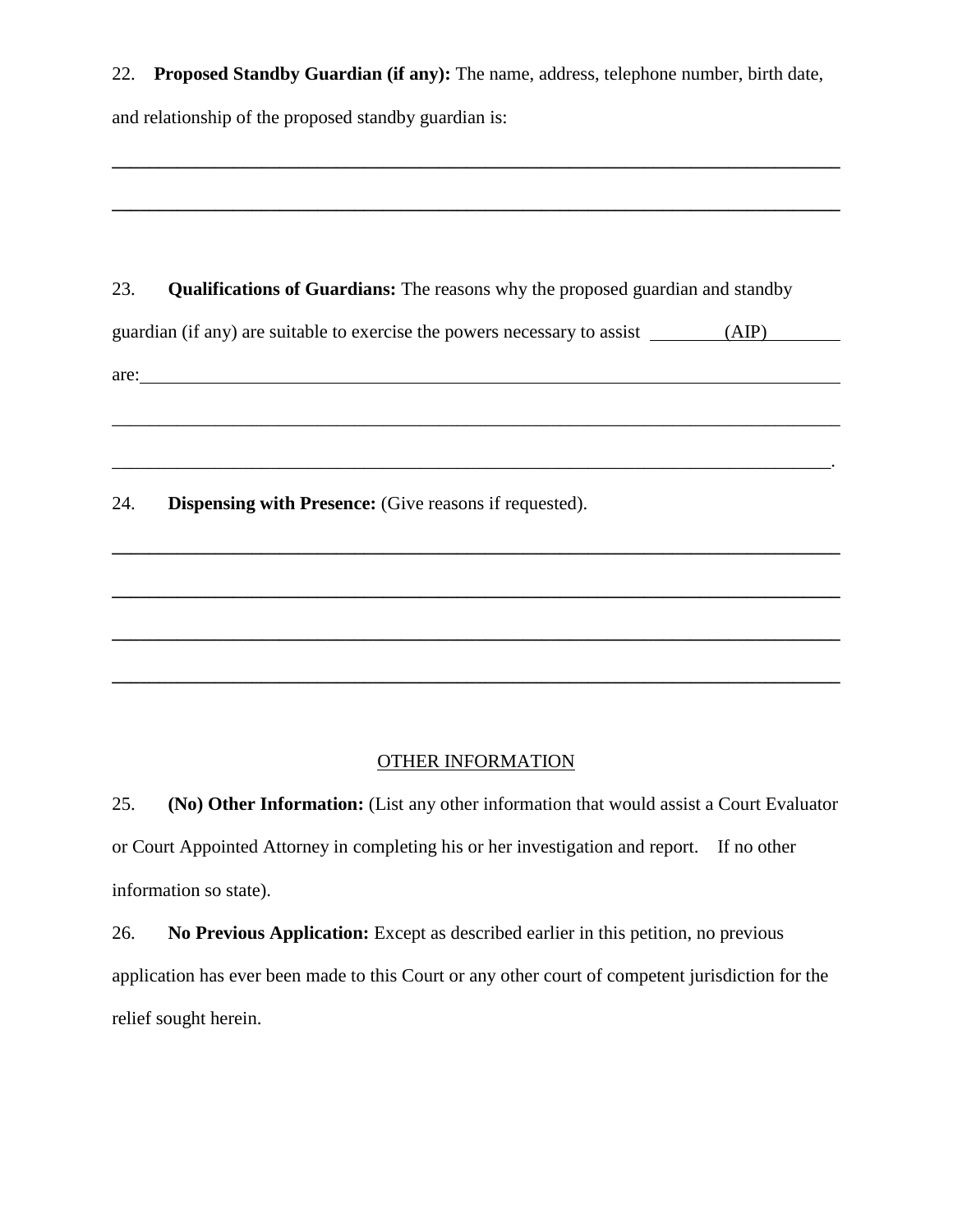22. **Proposed Standby Guardian (if any):** The name, address, telephone number, birth date, and relationship of the proposed standby guardian is:

**\_\_\_\_\_\_\_\_\_\_\_\_\_\_\_\_\_\_\_\_\_\_\_\_\_\_\_\_\_\_\_\_\_\_\_\_\_\_\_\_\_\_\_\_\_\_\_\_\_\_\_\_\_\_\_\_\_\_\_\_\_\_\_\_\_\_\_\_\_\_\_\_\_\_\_\_\_\_**

**\_\_\_\_\_\_\_\_\_\_\_\_\_\_\_\_\_\_\_\_\_\_\_\_\_\_\_\_\_\_\_\_\_\_\_\_\_\_\_\_\_\_\_\_\_\_\_\_\_\_\_\_\_\_\_\_\_\_\_\_\_\_\_\_\_\_\_\_\_\_\_\_\_\_\_\_\_\_**

23. **Qualifications of Guardians:** The reasons why the proposed guardian and standby guardian (if any) are suitable to exercise the powers necessary to assist (AIP) (AIP) are:

 $\mathcal{L}_\text{max} = \frac{1}{2} \sum_{i=1}^{n} \frac{1}{2} \sum_{i=1}^{n} \frac{1}{2} \sum_{i=1}^{n} \frac{1}{2} \sum_{i=1}^{n} \frac{1}{2} \sum_{i=1}^{n} \frac{1}{2} \sum_{i=1}^{n} \frac{1}{2} \sum_{i=1}^{n} \frac{1}{2} \sum_{i=1}^{n} \frac{1}{2} \sum_{i=1}^{n} \frac{1}{2} \sum_{i=1}^{n} \frac{1}{2} \sum_{i=1}^{n} \frac{1}{2} \sum_{i=1}^{n} \frac{1$ 

**\_\_\_\_\_\_\_\_\_\_\_\_\_\_\_\_\_\_\_\_\_\_\_\_\_\_\_\_\_\_\_\_\_\_\_\_\_\_\_\_\_\_\_\_\_\_\_\_\_\_\_\_\_\_\_\_\_\_\_\_\_\_\_\_\_\_\_\_\_\_\_\_\_\_\_\_\_\_**

24. **Dispensing with Presence:** (Give reasons if requested).

#### OTHER INFORMATION

**\_\_\_\_\_\_\_\_\_\_\_\_\_\_\_\_\_\_\_\_\_\_\_\_\_\_\_\_\_\_\_\_\_\_\_\_\_\_\_\_\_\_\_\_\_\_\_\_\_\_\_\_\_\_\_\_\_\_\_\_\_\_\_\_\_\_\_\_\_\_\_\_\_\_\_\_\_\_**

**\_\_\_\_\_\_\_\_\_\_\_\_\_\_\_\_\_\_\_\_\_\_\_\_\_\_\_\_\_\_\_\_\_\_\_\_\_\_\_\_\_\_\_\_\_\_\_\_\_\_\_\_\_\_\_\_\_\_\_\_\_\_\_\_\_\_\_\_\_\_\_\_\_\_\_\_\_\_**

**\_\_\_\_\_\_\_\_\_\_\_\_\_\_\_\_\_\_\_\_\_\_\_\_\_\_\_\_\_\_\_\_\_\_\_\_\_\_\_\_\_\_\_\_\_\_\_\_\_\_\_\_\_\_\_\_\_\_\_\_\_\_\_\_\_\_\_\_\_\_\_\_\_\_\_\_\_\_**

25. **(No) Other Information:** (List any other information that would assist a Court Evaluator or Court Appointed Attorney in completing his or her investigation and report. If no other information so state).

26. **No Previous Application:** Except as described earlier in this petition, no previous application has ever been made to this Court or any other court of competent jurisdiction for the relief sought herein.